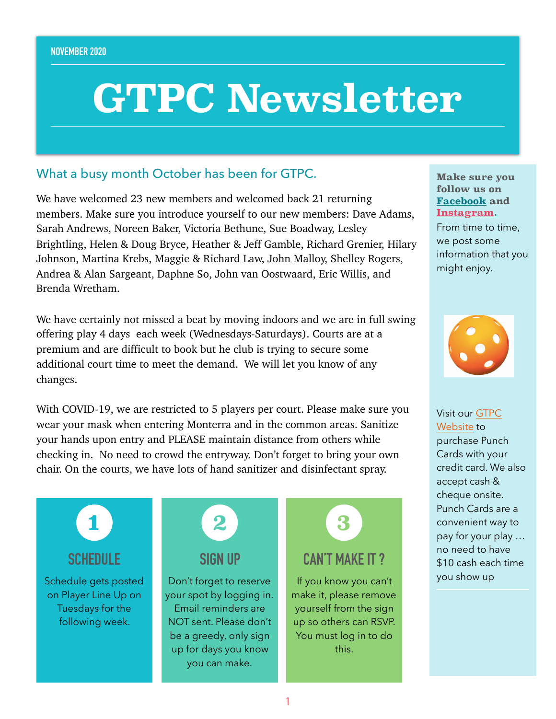# **GTPC Newsletter**

### What a busy month October has been for GTPC.

We have welcomed 23 new members and welcomed back 21 returning members. Make sure you introduce yourself to our new members: Dave Adams, Sarah Andrews, Noreen Baker, Victoria Bethune, Sue Boadway, Lesley Brightling, Helen & Doug Bryce, Heather & Jeff Gamble, Richard Grenier, Hilary Johnson, Martina Krebs, Maggie & Richard Law, John Malloy, Shelley Rogers, Andrea & Alan Sargeant, Daphne So, John van Oostwaard, Eric Willis, and Brenda Wretham.

We have certainly not missed a beat by moving indoors and we are in full swing offering play 4 days each week (Wednesdays-Saturdays). Courts are at a premium and are difficult to book but he club is trying to secure some additional court time to meet the demand. We will let you know of any changes.

With COVID-19, we are restricted to 5 players per court. Please make sure you wear your mask when entering Monterra and in the common areas. Sanitize your hands upon entry and PLEASE maintain distance from others while checking in. No need to crowd the entryway. Don't forget to bring your own chair. On the courts, we have lots of hand sanitizer and disinfectant spray.

**SCHEDULE 1**

Schedule gets posted on Player Line Up on Tuesdays for the following week.



Don't forget to reserve your spot by logging in. Email reminders are NOT sent. Please don't be a greedy, only sign up for days you know you can make.



If you know you can't make it, please remove yourself from the sign up so others can RSVP. You must log in to do this.

**Make sure you follow us on [Facebook](https://www.facebook.com/georgiantrianglepc/) and [Instagram](https://www.instagram.com/georgiantrianglepc/).** 

From time to time, we post some information that you might enjoy.



Visit our [GTPC](http://www.georgiantrianglepc.com)  [Website](http://www.georgiantrianglepc.com) to purchase Punch Cards with your credit card. We also accept cash & cheque onsite. Punch Cards are a convenient way to pay for your play … no need to have \$10 cash each time you show up